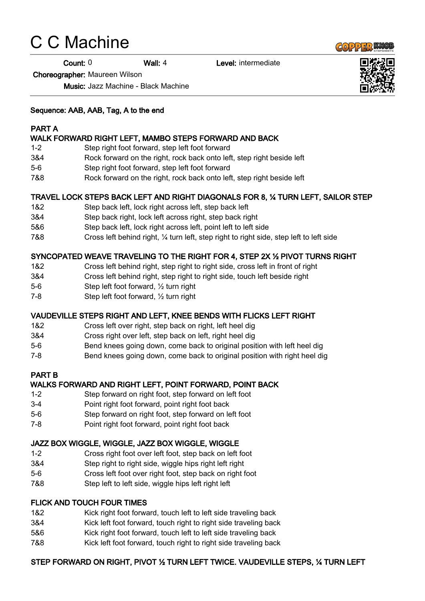# C C Machine

Count: 0 Wall: 4 Level: intermediate

Choreographer: Maureen Wilson

Music: Jazz Machine - Black Machine

#### Sequence: AAB, AAB, Tag, A to the end

#### PART A

#### WALK FORWARD RIGHT LEFT, MAMBO STEPS FORWARD AND BACK

- 1-2 Step right foot forward, step left foot forward
- 3&4 Rock forward on the right, rock back onto left, step right beside left
- 5-6 Step right foot forward, step left foot forward
- 7&8 Rock forward on the right, rock back onto left, step right beside left

#### TRAVEL LOCK STEPS BACK LEFT AND RIGHT DIAGONALS FOR 8, ¼ TURN LEFT, SAILOR STEP

- 1&2 Step back left, lock right across left, step back left
- 3&4 Step back right, lock left across right, step back right
- 5&6 Step back left, lock right across left, point left to left side
- 7&8 Cross left behind right, ¼ turn left, step right to right side, step left to left side

## SYNCOPATED WEAVE TRAVELING TO THE RIGHT FOR 4, STEP 2X ½ PIVOT TURNS RIGHT

- 1&2 Cross left behind right, step right to right side, cross left in front of right
- 3&4 Cross left behind right, step right to right side, touch left beside right
- 5-6 Step left foot forward, ½ turn right
- 7-8 Step left foot forward, ½ turn right

#### VAUDEVILLE STEPS RIGHT AND LEFT, KNEE BENDS WITH FLICKS LEFT RIGHT

- 1&2 Cross left over right, step back on right, left heel dig
- 3&4 Cross right over left, step back on left, right heel dig
- 5-6 Bend knees going down, come back to original position with left heel dig
- 7-8 Bend knees going down, come back to original position with right heel dig

#### PART B

#### WALKS FORWARD AND RIGHT LEFT, POINT FORWARD, POINT BACK

- 1-2 Step forward on right foot, step forward on left foot
- 3-4 Point right foot forward, point right foot back
- 5-6 Step forward on right foot, step forward on left foot
- 7-8 Point right foot forward, point right foot back

#### JAZZ BOX WIGGLE, WIGGLE, JAZZ BOX WIGGLE, WIGGLE

- 1-2 Cross right foot over left foot, step back on left foot
- 3&4 Step right to right side, wiggle hips right left right
- 5-6 Cross left foot over right foot, step back on right foot
- 7&8 Step left to left side, wiggle hips left right left

#### FLICK AND TOUCH FOUR TIMES

- 1&2 Kick right foot forward, touch left to left side traveling back
- 3&4 Kick left foot forward, touch right to right side traveling back
- 5&6 Kick right foot forward, touch left to left side traveling back
- 7&8 Kick left foot forward, touch right to right side traveling back

## STEP FORWARD ON RIGHT, PIVOT ½ TURN LEFT TWICE. VAUDEVILLE STEPS, ¼ TURN LEFT